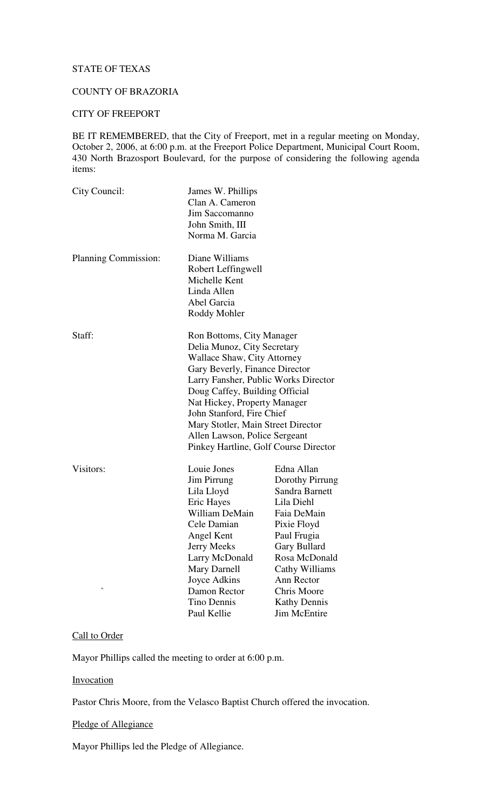# STATE OF TEXAS

## COUNTY OF BRAZORIA

#### CITY OF FREEPORT

BE IT REMEMBERED, that the City of Freeport, met in a regular meeting on Monday, October 2, 2006, at 6:00 p.m. at the Freeport Police Department, Municipal Court Room, 430 North Brazosport Boulevard, for the purpose of considering the following agenda items:

| City Council:        | James W. Phillips<br>Clan A. Cameron  |                     |
|----------------------|---------------------------------------|---------------------|
|                      | Jim Saccomanno                        |                     |
|                      |                                       |                     |
|                      | John Smith, III<br>Norma M. Garcia    |                     |
|                      |                                       |                     |
| Planning Commission: | Diane Williams                        |                     |
|                      | Robert Leffingwell                    |                     |
|                      | Michelle Kent                         |                     |
|                      | Linda Allen                           |                     |
|                      | Abel Garcia                           |                     |
|                      | Roddy Mohler                          |                     |
| Staff:               | Ron Bottoms, City Manager             |                     |
|                      | Delia Munoz, City Secretary           |                     |
|                      | <b>Wallace Shaw, City Attorney</b>    |                     |
|                      | Gary Beverly, Finance Director        |                     |
|                      | Larry Fansher, Public Works Director  |                     |
|                      | Doug Caffey, Building Official        |                     |
|                      | Nat Hickey, Property Manager          |                     |
|                      | John Stanford, Fire Chief             |                     |
|                      | Mary Stotler, Main Street Director    |                     |
|                      | Allen Lawson, Police Sergeant         |                     |
|                      | Pinkey Hartline, Golf Course Director |                     |
| Visitors:            | Louie Jones                           | Edna Allan          |
|                      | Jim Pirrung                           | Dorothy Pirrung     |
|                      | Lila Lloyd                            | Sandra Barnett      |
|                      | Eric Hayes                            | Lila Diehl          |
|                      | William DeMain                        | Faia DeMain         |
|                      | Cele Damian                           | Pixie Floyd         |
|                      | Angel Kent                            | Paul Frugia         |
|                      | <b>Jerry Meeks</b>                    | <b>Gary Bullard</b> |
|                      | Larry McDonald                        | Rosa McDonald       |
|                      | Mary Darnell                          | Cathy Williams      |
|                      | Joyce Adkins                          | Ann Rector          |
|                      | Damon Rector                          | <b>Chris Moore</b>  |
|                      | <b>Tino Dennis</b>                    | <b>Kathy Dennis</b> |
|                      | Paul Kellie                           | Jim McEntire        |

## Call to Order

Mayor Phillips called the meeting to order at 6:00 p.m.

# **Invocation**

Pastor Chris Moore, from the Velasco Baptist Church offered the invocation.

Pledge of Allegiance

Mayor Phillips led the Pledge of Allegiance.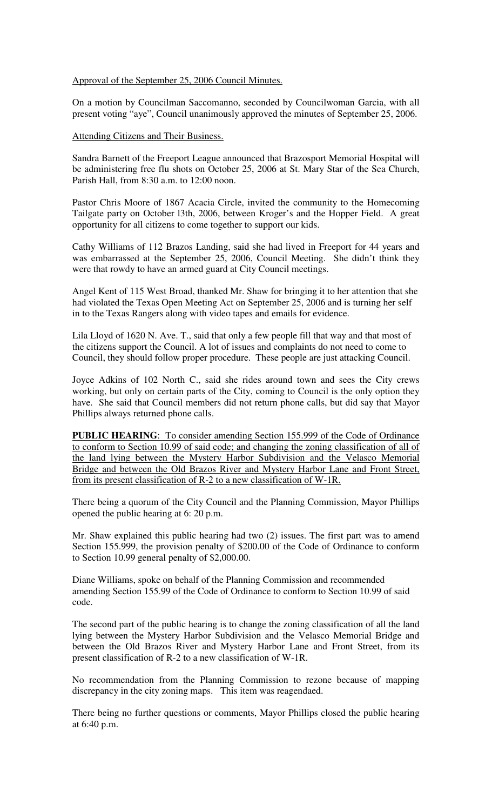#### Approval of the September 25, 2006 Council Minutes.

On a motion by Councilman Saccomanno, seconded by Councilwoman Garcia, with all present voting "aye", Council unanimously approved the minutes of September 25, 2006.

#### Attending Citizens and Their Business.

Sandra Barnett of the Freeport League announced that Brazosport Memorial Hospital will be administering free flu shots on October 25, 2006 at St. Mary Star of the Sea Church, Parish Hall, from 8:30 a.m. to 12:00 noon.

Pastor Chris Moore of 1867 Acacia Circle, invited the community to the Homecoming Tailgate party on October l3th, 2006, between Kroger's and the Hopper Field. A great opportunity for all citizens to come together to support our kids.

Cathy Williams of 112 Brazos Landing, said she had lived in Freeport for 44 years and was embarrassed at the September 25, 2006, Council Meeting. She didn't think they were that rowdy to have an armed guard at City Council meetings.

Angel Kent of 115 West Broad, thanked Mr. Shaw for bringing it to her attention that she had violated the Texas Open Meeting Act on September 25, 2006 and is turning her self in to the Texas Rangers along with video tapes and emails for evidence.

Lila Lloyd of 1620 N. Ave. T., said that only a few people fill that way and that most of the citizens support the Council. A lot of issues and complaints do not need to come to Council, they should follow proper procedure. These people are just attacking Council.

Joyce Adkins of 102 North C., said she rides around town and sees the City crews working, but only on certain parts of the City, coming to Council is the only option they have. She said that Council members did not return phone calls, but did say that Mayor Phillips always returned phone calls.

**PUBLIC HEARING**: To consider amending Section 155.999 of the Code of Ordinance to conform to Section 10.99 of said code; and changing the zoning classification of all of the land lying between the Mystery Harbor Subdivision and the Velasco Memorial Bridge and between the Old Brazos River and Mystery Harbor Lane and Front Street, from its present classification of R-2 to a new classification of W-1R.

There being a quorum of the City Council and the Planning Commission, Mayor Phillips opened the public hearing at 6: 20 p.m.

Mr. Shaw explained this public hearing had two (2) issues. The first part was to amend Section 155.999, the provision penalty of \$200.00 of the Code of Ordinance to conform to Section 10.99 general penalty of \$2,000.00.

Diane Williams, spoke on behalf of the Planning Commission and recommended amending Section 155.99 of the Code of Ordinance to conform to Section 10.99 of said code.

The second part of the public hearing is to change the zoning classification of all the land lying between the Mystery Harbor Subdivision and the Velasco Memorial Bridge and between the Old Brazos River and Mystery Harbor Lane and Front Street, from its present classification of R-2 to a new classification of W-1R.

No recommendation from the Planning Commission to rezone because of mapping discrepancy in the city zoning maps. This item was reagendaed.

There being no further questions or comments, Mayor Phillips closed the public hearing at 6:40 p.m.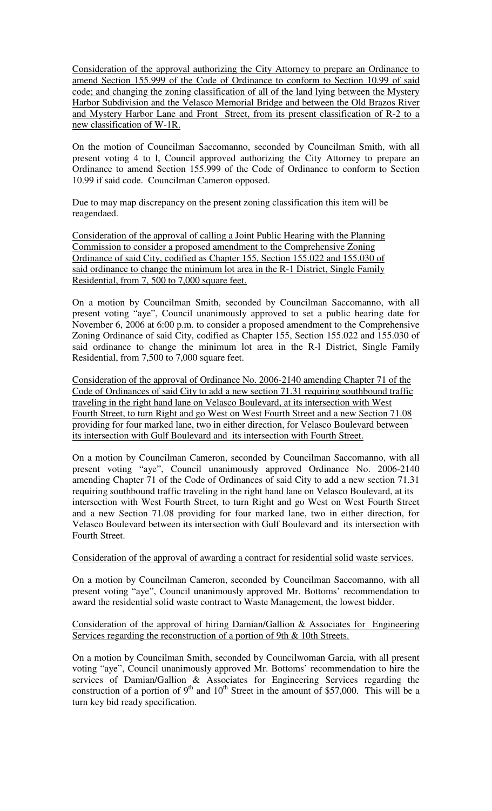Consideration of the approval authorizing the City Attorney to prepare an Ordinance to amend Section 155.999 of the Code of Ordinance to conform to Section 10.99 of said code; and changing the zoning classification of all of the land lying between the Mystery Harbor Subdivision and the Velasco Memorial Bridge and between the Old Brazos River and Mystery Harbor Lane and Front Street, from its present classification of R-2 to a new classification of W-1R.

On the motion of Councilman Saccomanno, seconded by Councilman Smith, with all present voting 4 to l, Council approved authorizing the City Attorney to prepare an Ordinance to amend Section 155.999 of the Code of Ordinance to conform to Section 10.99 if said code. Councilman Cameron opposed.

Due to may map discrepancy on the present zoning classification this item will be reagendaed.

Consideration of the approval of calling a Joint Public Hearing with the Planning Commission to consider a proposed amendment to the Comprehensive Zoning Ordinance of said City, codified as Chapter 155, Section 155.022 and 155.030 of said ordinance to change the minimum lot area in the R-1 District, Single Family Residential, from 7, 500 to 7,000 square feet.

On a motion by Councilman Smith, seconded by Councilman Saccomanno, with all present voting "aye", Council unanimously approved to set a public hearing date for November 6, 2006 at 6:00 p.m. to consider a proposed amendment to the Comprehensive Zoning Ordinance of said City, codified as Chapter 155, Section 155.022 and 155.030 of said ordinance to change the minimum lot area in the R-l District, Single Family Residential, from 7,500 to 7,000 square feet.

Consideration of the approval of Ordinance No. 2006-2140 amending Chapter 71 of the Code of Ordinances of said City to add a new section 71.31 requiring southbound traffic traveling in the right hand lane on Velasco Boulevard, at its intersection with West Fourth Street, to turn Right and go West on West Fourth Street and a new Section 71.08 providing for four marked lane, two in either direction, for Velasco Boulevard between its intersection with Gulf Boulevard and its intersection with Fourth Street.

On a motion by Councilman Cameron, seconded by Councilman Saccomanno, with all present voting "aye", Council unanimously approved Ordinance No. 2006-2140 amending Chapter 71 of the Code of Ordinances of said City to add a new section 71.31 requiring southbound traffic traveling in the right hand lane on Velasco Boulevard, at its intersection with West Fourth Street, to turn Right and go West on West Fourth Street and a new Section 71.08 providing for four marked lane, two in either direction, for Velasco Boulevard between its intersection with Gulf Boulevard and its intersection with Fourth Street.

## Consideration of the approval of awarding a contract for residential solid waste services.

On a motion by Councilman Cameron, seconded by Councilman Saccomanno, with all present voting "aye", Council unanimously approved Mr. Bottoms' recommendation to award the residential solid waste contract to Waste Management, the lowest bidder.

## Consideration of the approval of hiring Damian/Gallion & Associates for Engineering Services regarding the reconstruction of a portion of 9th & 10th Streets.

On a motion by Councilman Smith, seconded by Councilwoman Garcia, with all present voting "aye", Council unanimously approved Mr. Bottoms' recommendation to hire the services of Damian/Gallion & Associates for Engineering Services regarding the construction of a portion of  $9<sup>th</sup>$  and  $10<sup>th</sup>$  Street in the amount of \$57,000. This will be a turn key bid ready specification.